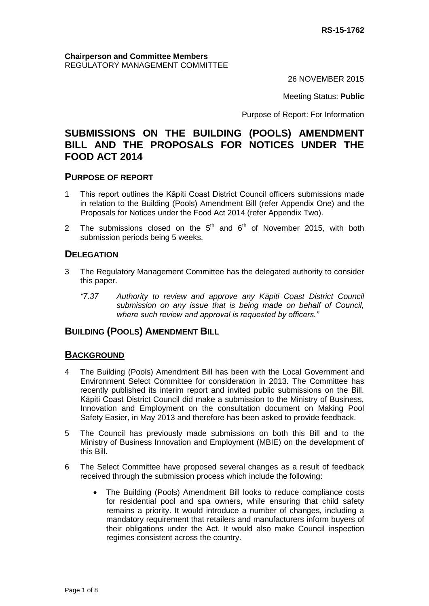26 NOVEMBER 2015

Meeting Status: **Public**

Purpose of Report: For Information

# **SUBMISSIONS ON THE BUILDING (POOLS) AMENDMENT BILL AND THE PROPOSALS FOR NOTICES UNDER THE FOOD ACT 2014**

#### **PURPOSE OF REPORT**

- 1 This report outlines the Kāpiti Coast District Council officers submissions made in relation to the Building (Pools) Amendment Bill (refer Appendix One) and the Proposals for Notices under the Food Act 2014 (refer Appendix Two).
- 2 The submissions closed on the  $5<sup>th</sup>$  and  $6<sup>th</sup>$  of November 2015, with both submission periods being 5 weeks.

#### **DELEGATION**

- 3 The Regulatory Management Committee has the delegated authority to consider this paper.
	- *"7.37 Authority to review and approve any Kāpiti Coast District Council submission on any issue that is being made on behalf of Council, where such review and approval is requested by officers."*

#### **BUILDING (POOLS) AMENDMENT BILL**

#### **BACKGROUND**

- 4 The Building (Pools) Amendment Bill has been with the Local Government and Environment Select Committee for consideration in 2013. The Committee has recently published its interim report and invited public submissions on the Bill. Kāpiti Coast District Council did make a submission to the Ministry of Business, Innovation and Employment on the consultation document on Making Pool Safety Easier, in May 2013 and therefore has been asked to provide feedback.
- 5 The Council has previously made submissions on both this Bill and to the Ministry of Business Innovation and Employment (MBIE) on the development of this Bill.
- 6 The Select Committee have proposed several changes as a result of feedback received through the submission process which include the following:
	- The Building (Pools) Amendment Bill looks to reduce compliance costs for residential pool and spa owners, while ensuring that child safety remains a priority. It would introduce a number of changes, including a mandatory requirement that retailers and manufacturers inform buyers of their obligations under the Act. It would also make Council inspection regimes consistent across the country.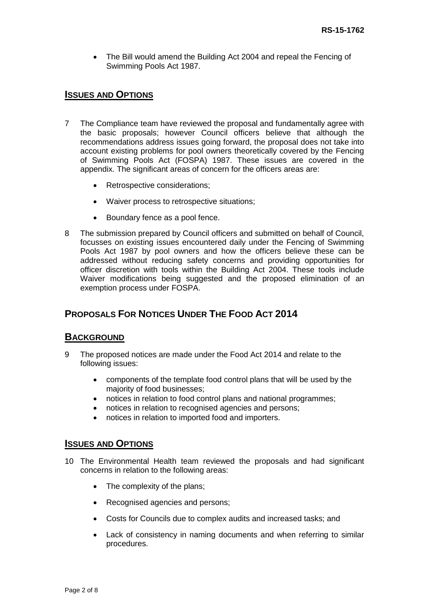• The Bill would amend the Building Act 2004 and repeal the Fencing of Swimming Pools Act 1987.

### **ISSUES AND OPTIONS**

- 7 The Compliance team have reviewed the proposal and fundamentally agree with the basic proposals; however Council officers believe that although the recommendations address issues going forward, the proposal does not take into account existing problems for pool owners theoretically covered by the Fencing of Swimming Pools Act (FOSPA) 1987. These issues are covered in the appendix. The significant areas of concern for the officers areas are:
	- Retrospective considerations;
	- Waiver process to retrospective situations;
	- Boundary fence as a pool fence.
- 8 The submission prepared by Council officers and submitted on behalf of Council, focusses on existing issues encountered daily under the Fencing of Swimming Pools Act 1987 by pool owners and how the officers believe these can be addressed without reducing safety concerns and providing opportunities for officer discretion with tools within the Building Act 2004. These tools include Waiver modifications being suggested and the proposed elimination of an exemption process under FOSPA.

# **PROPOSALS FOR NOTICES UNDER THE FOOD ACT 2014**

#### **BACKGROUND**

- 9 The proposed notices are made under the Food Act 2014 and relate to the following issues:
	- components of the template food control plans that will be used by the majority of food businesses;
	- notices in relation to food control plans and national programmes;
	- notices in relation to recognised agencies and persons;
	- notices in relation to imported food and importers.

#### **ISSUES AND OPTIONS**

- 10 The Environmental Health team reviewed the proposals and had significant concerns in relation to the following areas:
	- The complexity of the plans;
	- Recognised agencies and persons;
	- Costs for Councils due to complex audits and increased tasks; and
	- Lack of consistency in naming documents and when referring to similar procedures.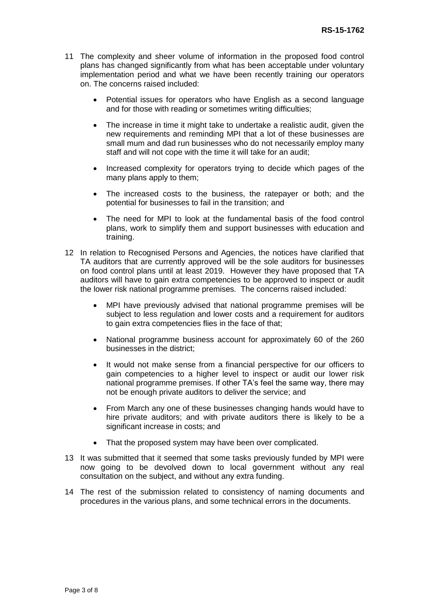- 11 The complexity and sheer volume of information in the proposed food control plans has changed significantly from what has been acceptable under voluntary implementation period and what we have been recently training our operators on. The concerns raised included:
	- Potential issues for operators who have English as a second language and for those with reading or sometimes writing difficulties;
	- The increase in time it might take to undertake a realistic audit, given the new requirements and reminding MPI that a lot of these businesses are small mum and dad run businesses who do not necessarily employ many staff and will not cope with the time it will take for an audit;
	- Increased complexity for operators trying to decide which pages of the many plans apply to them;
	- The increased costs to the business, the ratepayer or both; and the potential for businesses to fail in the transition; and
	- The need for MPI to look at the fundamental basis of the food control plans, work to simplify them and support businesses with education and training.
- 12 In relation to Recognised Persons and Agencies, the notices have clarified that TA auditors that are currently approved will be the sole auditors for businesses on food control plans until at least 2019. However they have proposed that TA auditors will have to gain extra competencies to be approved to inspect or audit the lower risk national programme premises. The concerns raised included:
	- MPI have previously advised that national programme premises will be subject to less regulation and lower costs and a requirement for auditors to gain extra competencies flies in the face of that;
	- National programme business account for approximately 60 of the 260 businesses in the district;
	- It would not make sense from a financial perspective for our officers to gain competencies to a higher level to inspect or audit our lower risk national programme premises. If other TA's feel the same way, there may not be enough private auditors to deliver the service; and
	- From March any one of these businesses changing hands would have to hire private auditors; and with private auditors there is likely to be a significant increase in costs; and
	- That the proposed system may have been over complicated.
- 13 It was submitted that it seemed that some tasks previously funded by MPI were now going to be devolved down to local government without any real consultation on the subject, and without any extra funding.
- 14 The rest of the submission related to consistency of naming documents and procedures in the various plans, and some technical errors in the documents.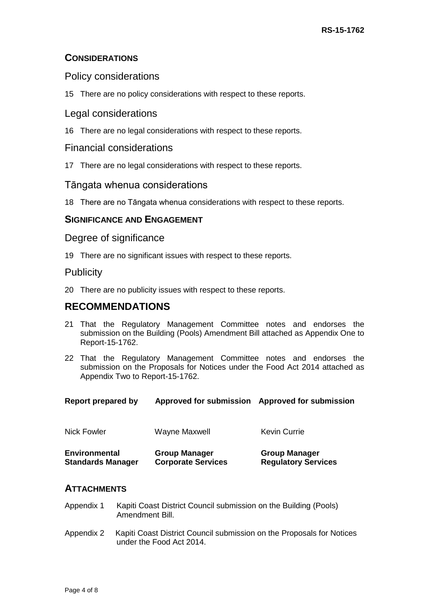## **CONSIDERATIONS**

### Policy considerations

15 There are no policy considerations with respect to these reports.

### Legal considerations

16 There are no legal considerations with respect to these reports.

#### Financial considerations

17 There are no legal considerations with respect to these reports.

## Tāngata whenua considerations

18 There are no Tāngata whenua considerations with respect to these reports.

## **SIGNIFICANCE AND ENGAGEMENT**

#### Degree of significance

19 There are no significant issues with respect to these reports.

## **Publicity**

20 There are no publicity issues with respect to these reports.

## **RECOMMENDATIONS**

- 21 That the Regulatory Management Committee notes and endorses the submission on the Building (Pools) Amendment Bill attached as Appendix One to Report-15-1762.
- 22 That the Regulatory Management Committee notes and endorses the submission on the Proposals for Notices under the Food Act 2014 attached as Appendix Two to Report-15-1762.

|  | <b>Report prepared by</b> | Approved for submission Approved for submission |  |
|--|---------------------------|-------------------------------------------------|--|
|--|---------------------------|-------------------------------------------------|--|

| <b>Nick Fowler</b>       | <b>Wayne Maxwell</b>      | Kevin Currie               |
|--------------------------|---------------------------|----------------------------|
| <b>Environmental</b>     | <b>Group Manager</b>      | <b>Group Manager</b>       |
| <b>Standards Manager</b> | <b>Corporate Services</b> | <b>Regulatory Services</b> |

#### **ATTACHMENTS**

- Appendix 1 Kapiti Coast District Council submission on the Building (Pools) Amendment Bill.
- Appendix 2 Kapiti Coast District Council submission on the Proposals for Notices under the Food Act 2014.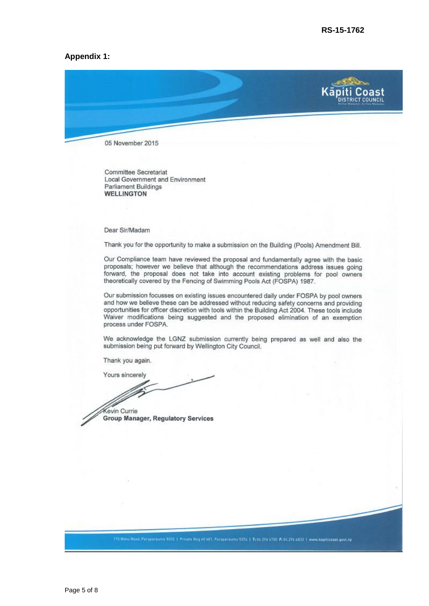#### **Appendix 1:**



Committee Secretariat Local Government and Environment Parliament Buildings **WELLINGTON** 

Dear Sir/Madam

Thank you for the opportunity to make a submission on the Building (Pools) Amendment Bill.

Our Compliance team have reviewed the proposal and fundamentally agree with the basic proposals; however we believe that although the recommendations address issues going forward, the proposal does not take into account existing problems for pool owners theoretically covered by the Fencing of Swimming Pools Act (FOSPA) 1987.

Our submission focusses on existing issues encountered daily under FOSPA by pool owners and how we believe these can be addressed without reducing safety concerns and providing opportunities for officer discretion with tools within the Building Act 2004. These tools include Waiver modifications being suggested and the proposed elimination of an exemption process under FOSPA.

We acknowledge the LGNZ submission currently being prepared as well and also the submission being put forward by Wellington City Council.

Thank you again.

Yours sincerely

Kevin Currie Group Manager, Regulatory Services

176 Rimu Road, Peraparaumu 6032 | Private Bag 60 601, Paraparaumu 5254 | T: 04 296 4700 F: 04 296 4030 | www.kapiticoast.govt.nz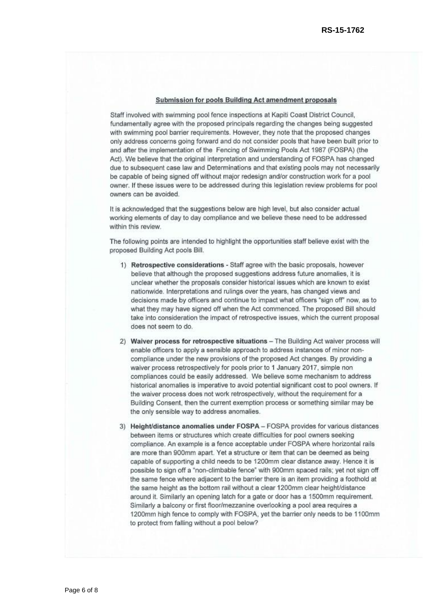#### Submission for pools Building Act amendment proposals

Staff involved with swimming pool fence inspections at Kapiti Coast District Council. fundamentally agree with the proposed principals regarding the changes being suggested with swimming pool barrier requirements. However, they note that the proposed changes only address concerns going forward and do not consider pools that have been built prior to and after the implementation of the Fencing of Swimming Pools Act 1987 (FOSPA) (the Act). We believe that the original interpretation and understanding of FOSPA has changed due to subsequent case law and Determinations and that existing pools may not necessarily be capable of being signed off without major redesign and/or construction work for a pool owner. If these issues were to be addressed during this legislation review problems for pool owners can be avoided.

It is acknowledged that the suggestions below are high level, but also consider actual working elements of day to day compliance and we believe these need to be addressed within this review.

The following points are intended to highlight the opportunities staff believe exist with the proposed Building Act pools Bill.

- 1) Retrospective considerations Staff agree with the basic proposals, however believe that although the proposed suggestions address future anomalies, it is unclear whether the proposals consider historical issues which are known to exist nationwide. Interpretations and rulings over the years, has changed views and decisions made by officers and continue to impact what officers "sign off" now, as to what they may have signed off when the Act commenced. The proposed Bill should take into consideration the impact of retrospective issues, which the current proposal does not seem to do.
- 2) Waiver process for retrospective situations The Building Act waiver process will enable officers to apply a sensible approach to address instances of minor noncompliance under the new provisions of the proposed Act changes. By providing a waiver process retrospectively for pools prior to 1 January 2017, simple non compliances could be easily addressed. We believe some mechanism to address historical anomalies is imperative to avoid potential significant cost to pool owners. If the waiver process does not work retrospectively, without the requirement for a Building Consent, then the current exemption process or something similar may be the only sensible way to address anomalies.
- 3) Height/distance anomalies under FOSPA FOSPA provides for various distances between items or structures which create difficulties for pool owners seeking compliance. An example is a fence acceptable under FOSPA where horizontal rails are more than 900mm apart. Yet a structure or item that can be deemed as being capable of supporting a child needs to be 1200mm clear distance away. Hence it is possible to sign off a "non-climbable fence" with 900mm spaced rails; yet not sign off the same fence where adjacent to the barrier there is an item providing a foothold at the same height as the bottom rail without a clear 1200mm clear height/distance around it. Similarly an opening latch for a gate or door has a 1500mm requirement. Similarly a balcony or first floor/mezzanine overlooking a pool area requires a 1200mm high fence to comply with FOSPA, yet the barrier only needs to be 1100mm to protect from falling without a pool below?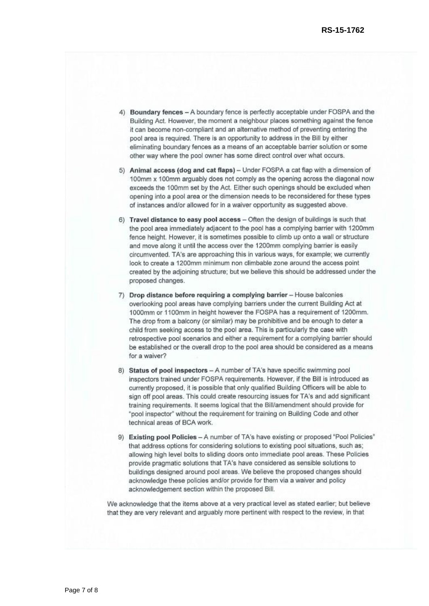- 4) Boundary fences A boundary fence is perfectly acceptable under FOSPA and the Building Act. However, the moment a neighbour places something against the fence it can become non-compliant and an alternative method of preventing entering the pool area is required. There is an opportunity to address in the Bill by either eliminating boundary fences as a means of an acceptable barrier solution or some other way where the pool owner has some direct control over what occurs.
- 5) Animal access (dog and cat flaps) Under FOSPA a cat flap with a dimension of 100mm x 100mm arguably does not comply as the opening across the diagonal now exceeds the 100mm set by the Act. Either such openings should be excluded when opening into a pool area or the dimension needs to be reconsidered for these types of instances and/or allowed for in a waiver opportunity as suggested above.
- 6) Travel distance to easy pool access Often the design of buildings is such that the pool area immediately adjacent to the pool has a complying barrier with 1200mm fence height. However, it is sometimes possible to climb up onto a wall or structure and move along it until the access over the 1200mm complying barrier is easily circumvented. TA's are approaching this in various ways, for example; we currently look to create a 1200mm minimum non climbable zone around the access point created by the adjoining structure; but we believe this should be addressed under the proposed changes.
- 7) Drop distance before requiring a complying barrier House balconies overlooking pool areas have complying barriers under the current Building Act at 1000mm or 1100mm in height however the FOSPA has a requirement of 1200mm. The drop from a balcony (or similar) may be prohibitive and be enough to deter a child from seeking access to the pool area. This is particularly the case with retrospective pool scenarios and either a requirement for a complying barrier should be established or the overall drop to the pool area should be considered as a means for a waiver?
- 8) Status of pool inspectors A number of TA's have specific swimming pool inspectors trained under FOSPA requirements. However, if the Bill is introduced as currently proposed, it is possible that only qualified Building Officers will be able to sign off pool areas. This could create resourcing issues for TA's and add significant training requirements. It seems logical that the Bill/amendment should provide for \*pool inspector" without the requirement for training on Building Code and other technical areas of BCA work.
- 9) Existing pool Policies A number of TA's have existing or proposed "Pool Policies" that address options for considering solutions to existing pool situations, such as; allowing high level bolts to sliding doors onto immediate pool areas. These Policies provide pragmatic solutions that TA's have considered as sensible solutions to buildings designed around pool areas. We believe the proposed changes should acknowledge these policies and/or provide for them via a waiver and policy acknowledgement section within the proposed Bill.

We acknowledge that the items above at a very practical level as stated earlier; but believe that they are very relevant and arguably more pertinent with respect to the review, in that